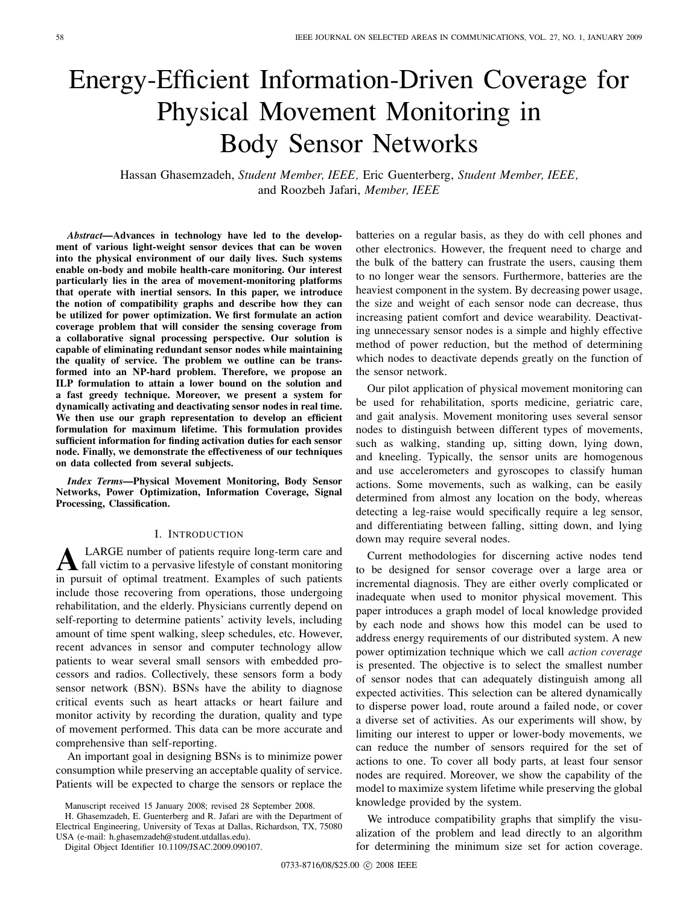# Energy-Efficient Information-Driven Coverage for Physical Movement Monitoring in Body Sensor Networks

Hassan Ghasemzadeh, *Student Member, IEEE,* Eric Guenterberg, *Student Member, IEEE,* and Roozbeh Jafari, *Member, IEEE*

*Abstract***—Advances in technology have led to the development of various light-weight sensor devices that can be woven into the physical environment of our daily lives. Such systems enable on-body and mobile health-care monitoring. Our interest particularly lies in the area of movement-monitoring platforms that operate with inertial sensors. In this paper, we introduce the notion of compatibility graphs and describe how they can be utilized for power optimization. We first formulate an action coverage problem that will consider the sensing coverage from a collaborative signal processing perspective. Our solution is capable of eliminating redundant sensor nodes while maintaining the quality of service. The problem we outline can be transformed into an NP-hard problem. Therefore, we propose an ILP formulation to attain a lower bound on the solution and a fast greedy technique. Moreover, we present a system for dynamically activating and deactivating sensor nodes in real time. We then use our graph representation to develop an efficient formulation for maximum lifetime. This formulation provides sufficient information for finding activation duties for each sensor node. Finally, we demonstrate the effectiveness of our techniques on data collected from several subjects.**

*Index Terms***—Physical Movement Monitoring, Body Sensor Networks, Power Optimization, Information Coverage, Signal Processing, Classification.**

# I. INTRODUCTION

A LARGE number of patients require long-term care and fall victim to a pervasive lifestyle of constant monitoring in pursuit of optimal treatment. Examples of such patients include those recovering from operations, those undergoing rehabilitation, and the elderly. Physicians currently depend on self-reporting to determine patients' activity levels, including amount of time spent walking, sleep schedules, etc. However, recent advances in sensor and computer technology allow patients to wear several small sensors with embedded processors and radios. Collectively, these sensors form a body sensor network (BSN). BSNs have the ability to diagnose critical events such as heart attacks or heart failure and monitor activity by recording the duration, quality and type of movement performed. This data can be more accurate and comprehensive than self-reporting.

An important goal in designing BSNs is to minimize power consumption while preserving an acceptable quality of service. Patients will be expected to charge the sensors or replace the batteries on a regular basis, as they do with cell phones and other electronics. However, the frequent need to charge and the bulk of the battery can frustrate the users, causing them to no longer wear the sensors. Furthermore, batteries are the heaviest component in the system. By decreasing power usage, the size and weight of each sensor node can decrease, thus increasing patient comfort and device wearability. Deactivating unnecessary sensor nodes is a simple and highly effective method of power reduction, but the method of determining which nodes to deactivate depends greatly on the function of the sensor network.

Our pilot application of physical movement monitoring can be used for rehabilitation, sports medicine, geriatric care, and gait analysis. Movement monitoring uses several sensor nodes to distinguish between different types of movements, such as walking, standing up, sitting down, lying down, and kneeling. Typically, the sensor units are homogenous and use accelerometers and gyroscopes to classify human actions. Some movements, such as walking, can be easily determined from almost any location on the body, whereas detecting a leg-raise would specifically require a leg sensor, and differentiating between falling, sitting down, and lying down may require several nodes.

Current methodologies for discerning active nodes tend to be designed for sensor coverage over a large area or incremental diagnosis. They are either overly complicated or inadequate when used to monitor physical movement. This paper introduces a graph model of local knowledge provided by each node and shows how this model can be used to address energy requirements of our distributed system. A new power optimization technique which we call *action coverage* is presented. The objective is to select the smallest number of sensor nodes that can adequately distinguish among all expected activities. This selection can be altered dynamically to disperse power load, route around a failed node, or cover a diverse set of activities. As our experiments will show, by limiting our interest to upper or lower-body movements, we can reduce the number of sensors required for the set of actions to one. To cover all body parts, at least four sensor nodes are required. Moreover, we show the capability of the model to maximize system lifetime while preserving the global knowledge provided by the system.

We introduce compatibility graphs that simplify the visualization of the problem and lead directly to an algorithm for determining the minimum size set for action coverage.

Manuscript received 15 January 2008; revised 28 September 2008.

H. Ghasemzadeh, E. Guenterberg and R. Jafari are with the Department of Electrical Engineering, University of Texas at Dallas, Richardson, TX, 75080 USA (e-mail: h.ghasemzadeh@student.utdallas.edu).

Digital Object Identifier 10.1109/JSAC.2009.090107.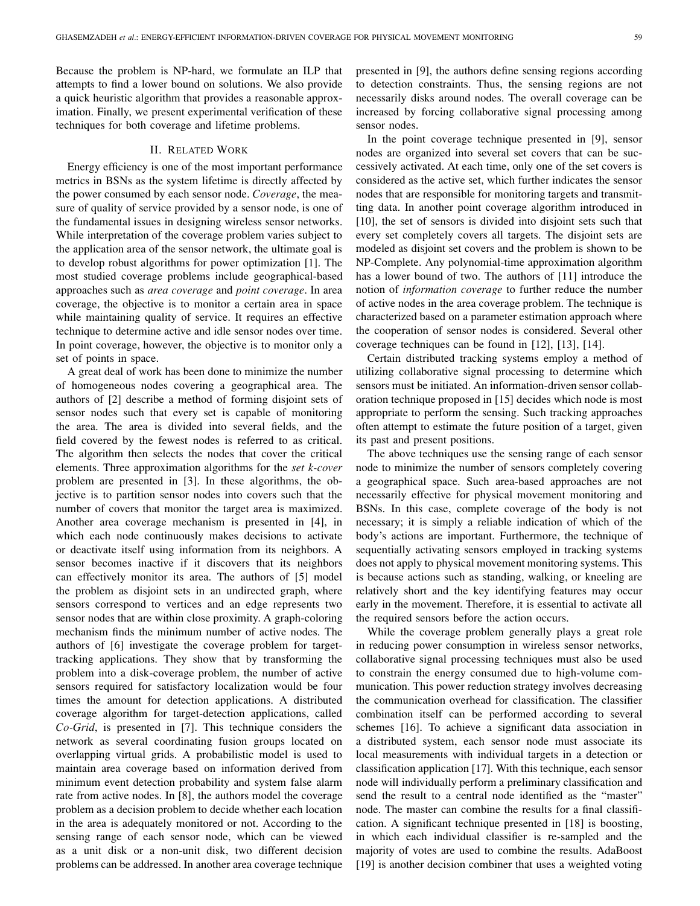Because the problem is NP-hard, we formulate an ILP that attempts to find a lower bound on solutions. We also provide a quick heuristic algorithm that provides a reasonable approximation. Finally, we present experimental verification of these techniques for both coverage and lifetime problems.

# II. RELATED WORK

Energy efficiency is one of the most important performance metrics in BSNs as the system lifetime is directly affected by the power consumed by each sensor node. *Coverage*, the measure of quality of service provided by a sensor node, is one of the fundamental issues in designing wireless sensor networks. While interpretation of the coverage problem varies subject to the application area of the sensor network, the ultimate goal is to develop robust algorithms for power optimization [1]. The most studied coverage problems include geographical-based approaches such as *area coverage* and *point coverage*. In area coverage, the objective is to monitor a certain area in space while maintaining quality of service. It requires an effective technique to determine active and idle sensor nodes over time. In point coverage, however, the objective is to monitor only a set of points in space.

A great deal of work has been done to minimize the number of homogeneous nodes covering a geographical area. The authors of [2] describe a method of forming disjoint sets of sensor nodes such that every set is capable of monitoring the area. The area is divided into several fields, and the field covered by the fewest nodes is referred to as critical. The algorithm then selects the nodes that cover the critical elements. Three approximation algorithms for the *set k-cover* problem are presented in [3]. In these algorithms, the objective is to partition sensor nodes into covers such that the number of covers that monitor the target area is maximized. Another area coverage mechanism is presented in [4], in which each node continuously makes decisions to activate or deactivate itself using information from its neighbors. A sensor becomes inactive if it discovers that its neighbors can effectively monitor its area. The authors of [5] model the problem as disjoint sets in an undirected graph, where sensors correspond to vertices and an edge represents two sensor nodes that are within close proximity. A graph-coloring mechanism finds the minimum number of active nodes. The authors of [6] investigate the coverage problem for targettracking applications. They show that by transforming the problem into a disk-coverage problem, the number of active sensors required for satisfactory localization would be four times the amount for detection applications. A distributed coverage algorithm for target-detection applications, called *Co-Grid*, is presented in [7]. This technique considers the network as several coordinating fusion groups located on overlapping virtual grids. A probabilistic model is used to maintain area coverage based on information derived from minimum event detection probability and system false alarm rate from active nodes. In [8], the authors model the coverage problem as a decision problem to decide whether each location in the area is adequately monitored or not. According to the sensing range of each sensor node, which can be viewed as a unit disk or a non-unit disk, two different decision problems can be addressed. In another area coverage technique

presented in [9], the authors define sensing regions according to detection constraints. Thus, the sensing regions are not necessarily disks around nodes. The overall coverage can be increased by forcing collaborative signal processing among sensor nodes.

In the point coverage technique presented in [9], sensor nodes are organized into several set covers that can be successively activated. At each time, only one of the set covers is considered as the active set, which further indicates the sensor nodes that are responsible for monitoring targets and transmitting data. In another point coverage algorithm introduced in [10], the set of sensors is divided into disjoint sets such that every set completely covers all targets. The disjoint sets are modeled as disjoint set covers and the problem is shown to be NP-Complete. Any polynomial-time approximation algorithm has a lower bound of two. The authors of [11] introduce the notion of *information coverage* to further reduce the number of active nodes in the area coverage problem. The technique is characterized based on a parameter estimation approach where the cooperation of sensor nodes is considered. Several other coverage techniques can be found in [12], [13], [14].

Certain distributed tracking systems employ a method of utilizing collaborative signal processing to determine which sensors must be initiated. An information-driven sensor collaboration technique proposed in [15] decides which node is most appropriate to perform the sensing. Such tracking approaches often attempt to estimate the future position of a target, given its past and present positions.

The above techniques use the sensing range of each sensor node to minimize the number of sensors completely covering a geographical space. Such area-based approaches are not necessarily effective for physical movement monitoring and BSNs. In this case, complete coverage of the body is not necessary; it is simply a reliable indication of which of the body's actions are important. Furthermore, the technique of sequentially activating sensors employed in tracking systems does not apply to physical movement monitoring systems. This is because actions such as standing, walking, or kneeling are relatively short and the key identifying features may occur early in the movement. Therefore, it is essential to activate all the required sensors before the action occurs.

While the coverage problem generally plays a great role in reducing power consumption in wireless sensor networks, collaborative signal processing techniques must also be used to constrain the energy consumed due to high-volume communication. This power reduction strategy involves decreasing the communication overhead for classification. The classifier combination itself can be performed according to several schemes [16]. To achieve a significant data association in a distributed system, each sensor node must associate its local measurements with individual targets in a detection or classification application [17]. With this technique, each sensor node will individually perform a preliminary classification and send the result to a central node identified as the "master" node. The master can combine the results for a final classification. A significant technique presented in [18] is boosting, in which each individual classifier is re-sampled and the majority of votes are used to combine the results. AdaBoost [19] is another decision combiner that uses a weighted voting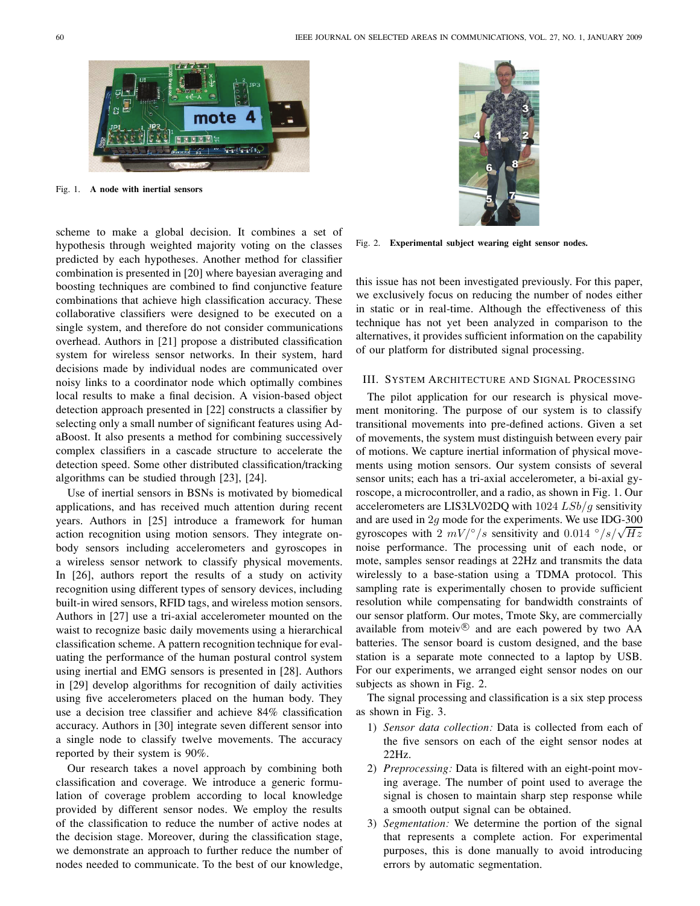

Fig. 1. **A node with inertial sensors**

scheme to make a global decision. It combines a set of hypothesis through weighted majority voting on the classes predicted by each hypotheses. Another method for classifier combination is presented in [20] where bayesian averaging and boosting techniques are combined to find conjunctive feature combinations that achieve high classification accuracy. These collaborative classifiers were designed to be executed on a single system, and therefore do not consider communications overhead. Authors in [21] propose a distributed classification system for wireless sensor networks. In their system, hard decisions made by individual nodes are communicated over noisy links to a coordinator node which optimally combines local results to make a final decision. A vision-based object detection approach presented in [22] constructs a classifier by selecting only a small number of significant features using AdaBoost. It also presents a method for combining successively complex classifiers in a cascade structure to accelerate the detection speed. Some other distributed classification/tracking algorithms can be studied through [23], [24].

Use of inertial sensors in BSNs is motivated by biomedical applications, and has received much attention during recent years. Authors in [25] introduce a framework for human action recognition using motion sensors. They integrate onbody sensors including accelerometers and gyroscopes in a wireless sensor network to classify physical movements. In [26], authors report the results of a study on activity recognition using different types of sensory devices, including built-in wired sensors, RFID tags, and wireless motion sensors. Authors in [27] use a tri-axial accelerometer mounted on the waist to recognize basic daily movements using a hierarchical classification scheme. A pattern recognition technique for evaluating the performance of the human postural control system using inertial and EMG sensors is presented in [28]. Authors in [29] develop algorithms for recognition of daily activities using five accelerometers placed on the human body. They use a decision tree classifier and achieve 84% classification accuracy. Authors in [30] integrate seven different sensor into a single node to classify twelve movements. The accuracy reported by their system is 90%.

Our research takes a novel approach by combining both classification and coverage. We introduce a generic formulation of coverage problem according to local knowledge provided by different sensor nodes. We employ the results of the classification to reduce the number of active nodes at the decision stage. Moreover, during the classification stage, we demonstrate an approach to further reduce the number of nodes needed to communicate. To the best of our knowledge,



Fig. 2. **Experimental subject wearing eight sensor nodes.**

this issue has not been investigated previously. For this paper, we exclusively focus on reducing the number of nodes either in static or in real-time. Although the effectiveness of this technique has not yet been analyzed in comparison to the alternatives, it provides sufficient information on the capability of our platform for distributed signal processing.

#### III. SYSTEM ARCHITECTURE AND SIGNAL PROCESSING

The pilot application for our research is physical movement monitoring. The purpose of our system is to classify transitional movements into pre-defined actions. Given a set of movements, the system must distinguish between every pair of motions. We capture inertial information of physical movements using motion sensors. Our system consists of several sensor units; each has a tri-axial accelerometer, a bi-axial gyroscope, a microcontroller, and a radio, as shown in Fig. 1. Our accelerometers are LIS3LV02DQ with  $1024$  LSb/g sensitivity and are used in 2g mode for the experiments. We use IDG-300 gyroscopes with 2  $mV/°/s$  sensitivity and 0.014 °/s/ $\sqrt{Hz}$  $h_{\text{min}}$  because the processing unit of each node, or mote, samples sensor readings at 22Hz and transmits the data wirelessly to a base-station using a TDMA protocol. This sampling rate is experimentally chosen to provide sufficient resolution while compensating for bandwidth constraints of our sensor platform. Our motes, Tmote Sky, are commercially available from moteiv $\mathcal{R}$  and are each powered by two AA batteries. The sensor board is custom designed, and the base station is a separate mote connected to a laptop by USB. For our experiments, we arranged eight sensor nodes on our subjects as shown in Fig. 2.

The signal processing and classification is a six step process as shown in Fig. 3.

- 1) *Sensor data collection:* Data is collected from each of the five sensors on each of the eight sensor nodes at 22Hz.
- 2) *Preprocessing:* Data is filtered with an eight-point moving average. The number of point used to average the signal is chosen to maintain sharp step response while a smooth output signal can be obtained.
- 3) *Segmentation:* We determine the portion of the signal that represents a complete action. For experimental purposes, this is done manually to avoid introducing errors by automatic segmentation.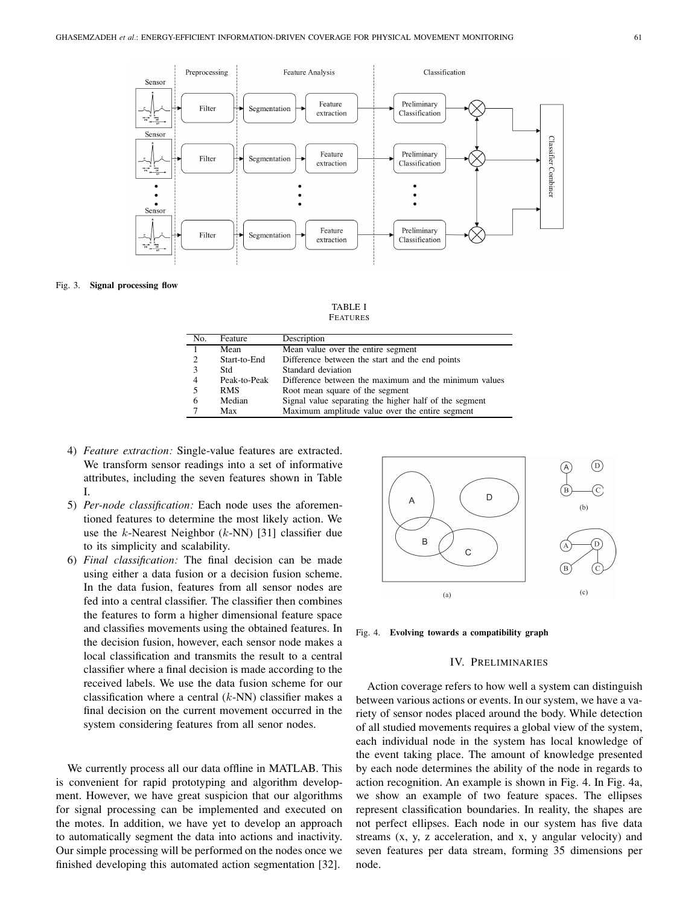

#### Fig. 3. **Signal processing flow**

TABLE I FEATURES

| No.                         | Feature      | Description                                            |
|-----------------------------|--------------|--------------------------------------------------------|
|                             | Mean         | Mean value over the entire segment                     |
| $\mathcal{D}_{\mathcal{L}}$ | Start-to-End | Difference between the start and the end points        |
| 3                           | Std          | Standard deviation                                     |
|                             | Peak-to-Peak | Difference between the maximum and the minimum values  |
|                             | <b>RMS</b>   | Root mean square of the segment                        |
|                             | Median       | Signal value separating the higher half of the segment |
|                             | Max          | Maximum amplitude value over the entire segment        |

- 4) *Feature extraction:* Single-value features are extracted. We transform sensor readings into a set of informative attributes, including the seven features shown in Table I.
- 5) *Per-node classification:* Each node uses the aforementioned features to determine the most likely action. We use the  $k$ -Nearest Neighbor ( $k$ -NN) [31] classifier due to its simplicity and scalability.
- 6) *Final classification:* The final decision can be made using either a data fusion or a decision fusion scheme. In the data fusion, features from all sensor nodes are fed into a central classifier. The classifier then combines the features to form a higher dimensional feature space and classifies movements using the obtained features. In the decision fusion, however, each sensor node makes a local classification and transmits the result to a central classifier where a final decision is made according to the received labels. We use the data fusion scheme for our classification where a central  $(k-NN)$  classifier makes a final decision on the current movement occurred in the system considering features from all senor nodes.

We currently process all our data offline in MATLAB. This is convenient for rapid prototyping and algorithm development. However, we have great suspicion that our algorithms for signal processing can be implemented and executed on the motes. In addition, we have yet to develop an approach to automatically segment the data into actions and inactivity. Our simple processing will be performed on the nodes once we finished developing this automated action segmentation [32].



Fig. 4. **Evolving towards a compatibility graph**

# IV. PRELIMINARIES

Action coverage refers to how well a system can distinguish between various actions or events. In our system, we have a variety of sensor nodes placed around the body. While detection of all studied movements requires a global view of the system, each individual node in the system has local knowledge of the event taking place. The amount of knowledge presented by each node determines the ability of the node in regards to action recognition. An example is shown in Fig. 4. In Fig. 4a, we show an example of two feature spaces. The ellipses represent classification boundaries. In reality, the shapes are not perfect ellipses. Each node in our system has five data streams (x, y, z acceleration, and x, y angular velocity) and seven features per data stream, forming 35 dimensions per node.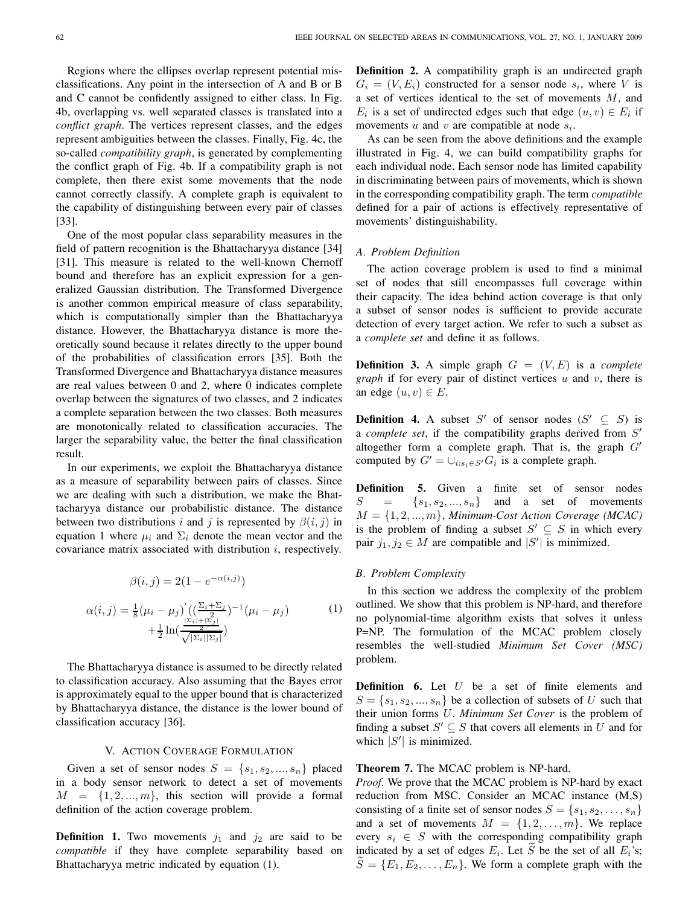Regions where the ellipses overlap represent potential misclassifications. Any point in the intersection of A and B or B and C cannot be confidently assigned to either class. In Fig. 4b, overlapping vs. well separated classes is translated into a *conflict graph*. The vertices represent classes, and the edges represent ambiguities between the classes. Finally, Fig. 4c, the so-called *compatibility graph*, is generated by complementing the conflict graph of Fig. 4b. If a compatibility graph is not complete, then there exist some movements that the node cannot correctly classify. A complete graph is equivalent to the capability of distinguishing between every pair of classes [33].

One of the most popular class separability measures in the field of pattern recognition is the Bhattacharyya distance [34] [31]. This measure is related to the well-known Chernoff bound and therefore has an explicit expression for a generalized Gaussian distribution. The Transformed Divergence is another common empirical measure of class separability, which is computationally simpler than the Bhattacharyya distance. However, the Bhattacharyya distance is more theoretically sound because it relates directly to the upper bound of the probabilities of classification errors [35]. Both the Transformed Divergence and Bhattacharyya distance measures are real values between 0 and 2, where 0 indicates complete overlap between the signatures of two classes, and 2 indicates a complete separation between the two classes. Both measures are monotonically related to classification accuracies. The larger the separability value, the better the final classification result.

In our experiments, we exploit the Bhattacharyya distance as a measure of separability between pairs of classes. Since we are dealing with such a distribution, we make the Bhattacharyya distance our probabilistic distance. The distance between two distributions i and j is represented by  $\beta(i, j)$  in equation 1 where  $\mu_i$  and  $\Sigma_i$  denote the mean vector and the covariance matrix associated with distribution  $i$ , respectively.

$$
\beta(i,j) = 2(1 - e^{-\alpha(i,j)})
$$

$$
\alpha(i,j) = \frac{1}{8}(\mu_i - \mu_j) \left( \left( \frac{\Sigma_i + \Sigma_j}{\Sigma_{i+1}|\Sigma_j|} \right)^{-1} (\mu_i - \mu_j) \right)
$$

$$
+ \frac{1}{2} \ln \left( \frac{\Sigma_i + \Sigma_j}{\sqrt{|\Sigma_i| |\Sigma_j|}} \right)
$$
(1)

The Bhattacharyya distance is assumed to be directly related to classification accuracy. Also assuming that the Bayes error is approximately equal to the upper bound that is characterized by Bhattacharyya distance, the distance is the lower bound of classification accuracy [36].

#### V. ACTION COVERAGE FORMULATION

Given a set of sensor nodes  $S = \{s_1, s_2, ..., s_n\}$  placed in a body sensor network to detect a set of movements  $M = \{1, 2, ..., m\}$ , this section will provide a formal definition of the action coverage problem.

**Definition 1.** Two movements  $j_1$  and  $j_2$  are said to be *compatible* if they have complete separability based on Bhattacharyya metric indicated by equation (1).

**Definition 2.** A compatibility graph is an undirected graph  $G_i = (V, E_i)$  constructed for a sensor node  $s_i$ , where V is a set of vertices identical to the set of movements M, and  $E_i$  is a set of undirected edges such that edge  $(u, v) \in E_i$  if movements  $u$  and  $v$  are compatible at node  $s_i$ .

As can be seen from the above definitions and the example illustrated in Fig. 4, we can build compatibility graphs for each individual node. Each sensor node has limited capability in discriminating between pairs of movements, which is shown in the corresponding compatibility graph. The term *compatible* defined for a pair of actions is effectively representative of movements' distinguishability.

#### *A. Problem Definition*

The action coverage problem is used to find a minimal set of nodes that still encompasses full coverage within their capacity. The idea behind action coverage is that only a subset of sensor nodes is sufficient to provide accurate detection of every target action. We refer to such a subset as a *complete set* and define it as follows.

**Definition 3.** A simple graph  $G = (V, E)$  is a *complete graph* if for every pair of distinct vertices u and v, there is an edge  $(u, v) \in E$ .

**Definition 4.** A subset S' of sensor nodes  $(S' \subseteq S)$  is <sup>a</sup> *complete set*, if the compatibility graphs derived from S altogether form a complete graph. That is, the graph  $G'$ computed by  $G' = \bigcup_{i:s_i \in S'} G_i$  is a complete graph.

**Definition 5.** Given a finite set of sensor nodes  $S = \{s_1, s_2, ..., s_n\}$  and a set of movements M = {1, 2, ..., m}, *Minimum-Cost Action Coverage (MCAC)* is the problem of finding a subset  $S' \subseteq S$  in which every pair  $j_1, j_2 \in M$  are compatible and  $|S'|$  is minimized.

# *B. Problem Complexity*

In this section we address the complexity of the problem outlined. We show that this problem is NP-hard, and therefore no polynomial-time algorithm exists that solves it unless P=NP. The formulation of the MCAC problem closely resembles the well-studied *Minimum Set Cover (MSC)* problem.

**Definition 6.** Let U be a set of finite elements and  $S = \{s_1, s_2, ..., s_n\}$  be a collection of subsets of U such that their union forms U. *Minimum Set Cover* is the problem of finding a subset  $S' \subseteq S$  that covers all elements in U and for which  $|S'|$  is minimized.

# **Theorem 7.** The MCAC problem is NP-hard.

*Proof.* We prove that the MCAC problem is NP-hard by exact reduction from MSC. Consider an MCAC instance (M,S) consisting of a finite set of sensor nodes  $S = \{s_1, s_2, \ldots, s_n\}$ and a set of movements  $M = \{1, 2, \ldots, m\}$ . We replace every  $s_i \in S$  with the corresponding compatibility graph indicated by a set of edges  $E_i$ . Let S be the set of all  $E_i$ 's;<br>  $\widetilde{S} = \overline{S}E, E \subseteq E$  by E N We form a complete graph with the  $S = \{E_1, E_2, \dots, E_n\}$ . We form a complete graph with the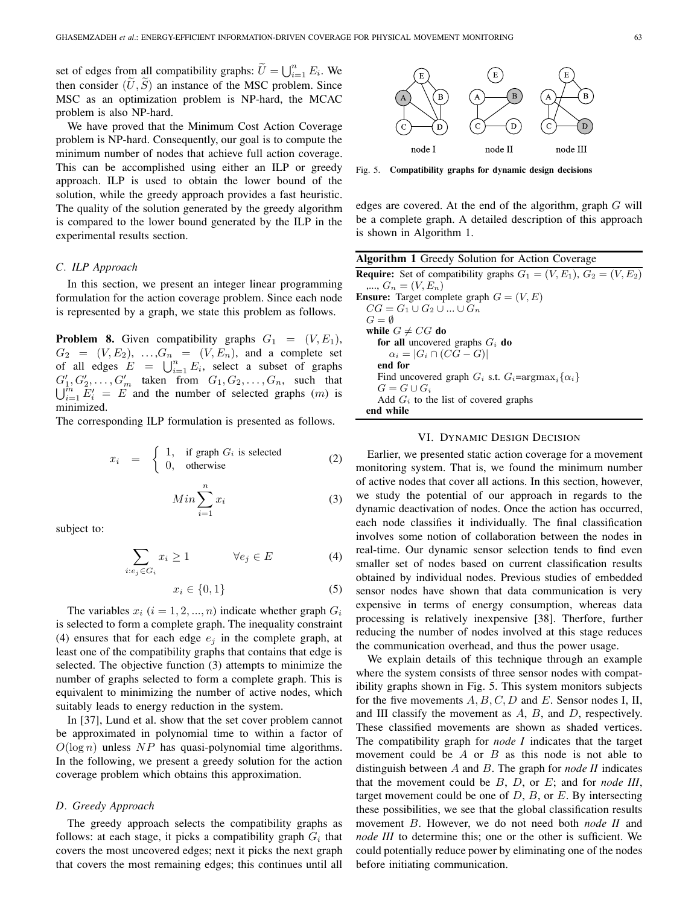set of edges from all compatibility graphs:  $\widetilde{U} = \bigcup_{i=1}^{n} E_i$ . We then consider  $(\widetilde{U}, \widetilde{S})$  an instance of the MSC problem. Since then consider  $(U, S)$  an instance of the MSC problem. Since  $MSC$  as an optimization problem is NP-hard, the MCAC MSC as an optimization problem is NP-hard, the MCAC problem is also NP-hard.

We have proved that the Minimum Cost Action Coverage problem is NP-hard. Consequently, our goal is to compute the minimum number of nodes that achieve full action coverage. This can be accomplished using either an ILP or greedy approach. ILP is used to obtain the lower bound of the solution, while the greedy approach provides a fast heuristic. The quality of the solution generated by the greedy algorithm is compared to the lower bound generated by the ILP in the experimental results section.

# *C. ILP Approach*

In this section, we present an integer linear programming formulation for the action coverage problem. Since each node is represented by a graph, we state this problem as follows.

**Problem 8.** Given compatibility graphs  $G_1 = (V, E_1)$ ,<br>  $G_2 = (V, E_2)$ , ...,  $G_n = (V, E_n)$ , and a complete set  $G_2 = (V, E_2), \ldots, G_n = (V, E_n),$  and a complete set<br>of all edges  $E = \prod^n E_n$  select a subset of graphs of all edges  $E = \bigcup_{i=1}^{n} E_i$ , select a subset of graphs  $G'$ ,  $G'$  $G'_1, G'_2, \ldots, G'_m$  taken from  $G_1, G_2, \ldots, G_n$ , such that  $\prod_{i=1}^m F'_i = F_i$  and the number of selected graphs  $(m)$  is  $\bigcup_{i=1}^{m} E'_i = E$  and the number of selected graphs  $(m)$  is minimized minimized.

The corresponding ILP formulation is presented as follows.

$$
x_i = \begin{cases} 1, & \text{if graph } G_i \text{ is selected} \\ 0, & \text{otherwise} \end{cases}
$$
 (2)

$$
Min \sum_{i=1}^{n} x_i \tag{3}
$$

subject to:

$$
\sum_{i:e_j \in G_i} x_i \ge 1 \qquad \forall e_j \in E \tag{4}
$$

$$
x_i \in \{0, 1\} \tag{5}
$$

The variables  $x_i$  ( $i = 1, 2, ..., n$ ) indicate whether graph  $G_i$ is selected to form a complete graph. The inequality constraint (4) ensures that for each edge  $e_i$  in the complete graph, at least one of the compatibility graphs that contains that edge is selected. The objective function (3) attempts to minimize the number of graphs selected to form a complete graph. This is equivalent to minimizing the number of active nodes, which suitably leads to energy reduction in the system.

In [37], Lund et al. show that the set cover problem cannot be approximated in polynomial time to within a factor of  $O(\log n)$  unless NP has quasi-polynomial time algorithms. In the following, we present a greedy solution for the action coverage problem which obtains this approximation.

# *D. Greedy Approach*

The greedy approach selects the compatibility graphs as follows: at each stage, it picks a compatibility graph  $G_i$  that covers the most uncovered edges; next it picks the next graph that covers the most remaining edges; this continues until all



Fig. 5. **Compatibility graphs for dynamic design decisions**

edges are covered. At the end of the algorithm, graph  $G$  will be a complete graph. A detailed description of this approach is shown in Algorithm 1.

| <b>Algorithm 1</b> Greedy Solution for Action Coverage                       |
|------------------------------------------------------------------------------|
| <b>Require:</b> Set of compatibility graphs $G_1 = (V, E_1), G_2 = (V, E_2)$ |
| $,, G_n = (V, E_n)$                                                          |
| <b>Ensure:</b> Target complete graph $G = (V, E)$                            |
| $CG = G_1 \cup G_2 \cup  \cup G_n$                                           |
| $G = \emptyset$                                                              |
| while $G \neq CG$ do                                                         |
| for all uncovered graphs $G_i$ do                                            |
| $\alpha_i =  G_i \cap (CG - G) $                                             |
| end for                                                                      |
| Find uncovered graph $G_i$ s.t. $G_i$ =argmax, { $\alpha_i$ }                |
| $G = G \cup G_i$                                                             |
| Add $G_i$ to the list of covered graphs                                      |
| end while                                                                    |

#### VI. DYNAMIC DESIGN DECISION

Earlier, we presented static action coverage for a movement monitoring system. That is, we found the minimum number of active nodes that cover all actions. In this section, however, we study the potential of our approach in regards to the dynamic deactivation of nodes. Once the action has occurred, each node classifies it individually. The final classification involves some notion of collaboration between the nodes in real-time. Our dynamic sensor selection tends to find even smaller set of nodes based on current classification results obtained by individual nodes. Previous studies of embedded sensor nodes have shown that data communication is very expensive in terms of energy consumption, whereas data processing is relatively inexpensive [38]. Therfore, further reducing the number of nodes involved at this stage reduces the communication overhead, and thus the power usage.

We explain details of this technique through an example where the system consists of three sensor nodes with compatibility graphs shown in Fig. 5. This system monitors subjects for the five movements  $A, B, C, D$  and E. Sensor nodes I, II, and III classify the movement as A, B, and D, respectively. These classified movements are shown as shaded vertices. The compatibility graph for *node I* indicates that the target movement could be  $A$  or  $B$  as this node is not able to distinguish between A and B. The graph for *node II* indicates that the movement could be B, D, or E; and for *node III*, target movement could be one of  $D$ ,  $B$ , or  $E$ . By intersecting these possibilities, we see that the global classification results movement B. However, we do not need both *node II* and *node III* to determine this; one or the other is sufficient. We could potentially reduce power by eliminating one of the nodes before initiating communication.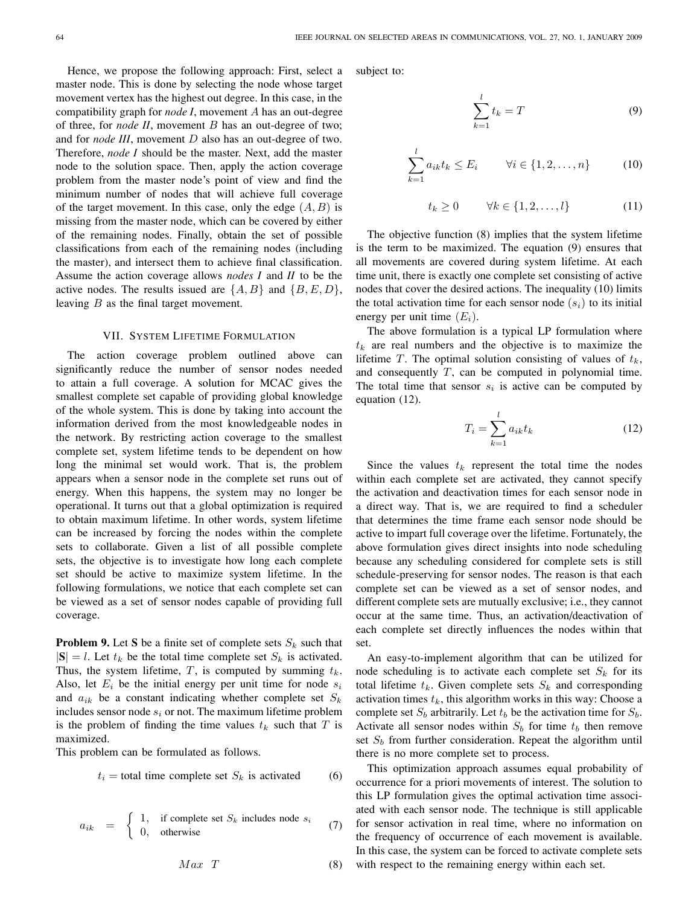Hence, we propose the following approach: First, select a master node. This is done by selecting the node whose target movement vertex has the highest out degree. In this case, in the compatibility graph for *node I*, movement A has an out-degree of three, for *node II*, movement B has an out-degree of two; and for *node III*, movement *D* also has an out-degree of two. Therefore, *node I* should be the master. Next, add the master node to the solution space. Then, apply the action coverage problem from the master node's point of view and find the minimum number of nodes that will achieve full coverage of the target movement. In this case, only the edge  $(A, B)$  is missing from the master node, which can be covered by either of the remaining nodes. Finally, obtain the set of possible classifications from each of the remaining nodes (including the master), and intersect them to achieve final classification. Assume the action coverage allows *nodes I* and *II* to be the active nodes. The results issued are  $\{A, B\}$  and  $\{B, E, D\}$ , leaving B as the final target movement.

# VII. SYSTEM LIFETIME FORMULATION

The action coverage problem outlined above can significantly reduce the number of sensor nodes needed to attain a full coverage. A solution for MCAC gives the smallest complete set capable of providing global knowledge of the whole system. This is done by taking into account the information derived from the most knowledgeable nodes in the network. By restricting action coverage to the smallest complete set, system lifetime tends to be dependent on how long the minimal set would work. That is, the problem appears when a sensor node in the complete set runs out of energy. When this happens, the system may no longer be operational. It turns out that a global optimization is required to obtain maximum lifetime. In other words, system lifetime can be increased by forcing the nodes within the complete sets to collaborate. Given a list of all possible complete sets, the objective is to investigate how long each complete set should be active to maximize system lifetime. In the following formulations, we notice that each complete set can be viewed as a set of sensor nodes capable of providing full coverage.

**Problem 9.** Let S be a finite set of complete sets  $S_k$  such that  $|\mathbf{S}| = l$ . Let  $t_k$  be the total time complete set  $S_k$  is activated. Thus, the system lifetime,  $T$ , is computed by summing  $t_k$ . Also, let  $E_i$  be the initial energy per unit time for node  $s_i$ and  $a_{ik}$  be a constant indicating whether complete set  $S_k$ includes sensor node  $s_i$  or not. The maximum lifetime problem is the problem of finding the time values  $t_k$  such that T is maximized.

This problem can be formulated as follows.

$$
t_i = \text{total time complete set } S_k \text{ is activated} \tag{6}
$$

$$
a_{ik} = \begin{cases} 1, & \text{if complete set } S_k \text{ includes node } s_i \\ 0, & \text{otherwise} \end{cases}
$$
 (7)

$$
Max \tT \t\t(8)
$$

subject to:

$$
\sum_{k=1}^{l} t_k = T \tag{9}
$$

$$
\sum_{k=1}^{l} a_{ik} t_k \le E_i \qquad \forall i \in \{1, 2, \dots, n\} \tag{10}
$$

$$
t_k \ge 0 \qquad \forall k \in \{1, 2, \dots, l\} \tag{11}
$$

The objective function (8) implies that the system lifetime is the term to be maximized. The equation (9) ensures that all movements are covered during system lifetime. At each time unit, there is exactly one complete set consisting of active nodes that cover the desired actions. The inequality (10) limits the total activation time for each sensor node  $(s<sub>i</sub>)$  to its initial energy per unit time  $(E_i)$ .

The above formulation is a typical LP formulation where  $t_k$  are real numbers and the objective is to maximize the lifetime T. The optimal solution consisting of values of  $t_k$ , and consequently  $T$ , can be computed in polynomial time. The total time that sensor  $s_i$  is active can be computed by equation (12).

$$
T_i = \sum_{k=1}^{l} a_{ik} t_k \tag{12}
$$

Since the values  $t_k$  represent the total time the nodes within each complete set are activated, they cannot specify the activation and deactivation times for each sensor node in a direct way. That is, we are required to find a scheduler that determines the time frame each sensor node should be active to impart full coverage over the lifetime. Fortunately, the above formulation gives direct insights into node scheduling because any scheduling considered for complete sets is still schedule-preserving for sensor nodes. The reason is that each complete set can be viewed as a set of sensor nodes, and different complete sets are mutually exclusive; i.e., they cannot occur at the same time. Thus, an activation/deactivation of each complete set directly influences the nodes within that set.

An easy-to-implement algorithm that can be utilized for node scheduling is to activate each complete set  $S_k$  for its total lifetime  $t_k$ . Given complete sets  $S_k$  and corresponding activation times  $t_k$ , this algorithm works in this way: Choose a complete set  $S_b$  arbitrarily. Let  $t_b$  be the activation time for  $S_b$ . Activate all sensor nodes within  $S_b$  for time  $t_b$  then remove set  $S_b$  from further consideration. Repeat the algorithm until there is no more complete set to process.

This optimization approach assumes equal probability of occurrence for a priori movements of interest. The solution to this LP formulation gives the optimal activation time associated with each sensor node. The technique is still applicable for sensor activation in real time, where no information on the frequency of occurrence of each movement is available. In this case, the system can be forced to activate complete sets with respect to the remaining energy within each set.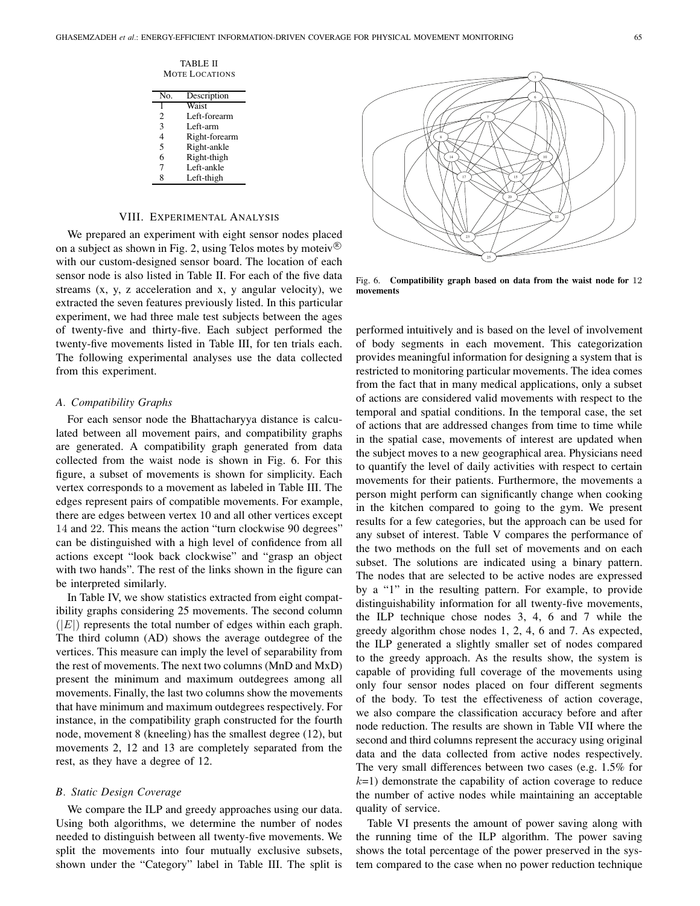TABLE II MOTE LOCATIONS

| No. | Description   |
|-----|---------------|
| 1   | Waist         |
| 2   | Left-forearm  |
| 3   | Left-arm      |
| 4   | Right-forearm |
| 5   | Right-ankle   |
| 6   | Right-thigh   |
| 7   | Left-ankle    |
| 8   | Left-thigh    |

# VIII. EXPERIMENTAL ANALYSIS

We prepared an experiment with eight sensor nodes placed on a subject as shown in Fig. 2, using Telos motes by moteiv $\mathbb{R}^2$ with our custom-designed sensor board. The location of each sensor node is also listed in Table II. For each of the five data streams (x, y, z acceleration and x, y angular velocity), we extracted the seven features previously listed. In this particular experiment, we had three male test subjects between the ages of twenty-five and thirty-five. Each subject performed the twenty-five movements listed in Table III, for ten trials each. The following experimental analyses use the data collected from this experiment.

# *A. Compatibility Graphs*

For each sensor node the Bhattacharyya distance is calculated between all movement pairs, and compatibility graphs are generated. A compatibility graph generated from data collected from the waist node is shown in Fig. 6. For this figure, a subset of movements is shown for simplicity. Each vertex corresponds to a movement as labeled in Table III. The edges represent pairs of compatible movements. For example, there are edges between vertex 10 and all other vertices except 14 and 22. This means the action "turn clockwise 90 degrees" can be distinguished with a high level of confidence from all actions except "look back clockwise" and "grasp an object with two hands". The rest of the links shown in the figure can be interpreted similarly.

In Table IV, we show statistics extracted from eight compatibility graphs considering 25 movements. The second column  $(|E|)$  represents the total number of edges within each graph. The third column (AD) shows the average outdegree of the vertices. This measure can imply the level of separability from the rest of movements. The next two columns (MnD and MxD) present the minimum and maximum outdegrees among all movements. Finally, the last two columns show the movements that have minimum and maximum outdegrees respectively. For instance, in the compatibility graph constructed for the fourth node, movement 8 (kneeling) has the smallest degree (12), but movements 2, 12 and 13 are completely separated from the rest, as they have a degree of 12.

#### *B. Static Design Coverage*

We compare the ILP and greedy approaches using our data. Using both algorithms, we determine the number of nodes needed to distinguish between all twenty-five movements. We split the movements into four mutually exclusive subsets, shown under the "Category" label in Table III. The split is



Fig. 6. **Compatibility graph based on data from the waist node for** 12 **movements**

performed intuitively and is based on the level of involvement of body segments in each movement. This categorization provides meaningful information for designing a system that is restricted to monitoring particular movements. The idea comes from the fact that in many medical applications, only a subset of actions are considered valid movements with respect to the temporal and spatial conditions. In the temporal case, the set of actions that are addressed changes from time to time while in the spatial case, movements of interest are updated when the subject moves to a new geographical area. Physicians need to quantify the level of daily activities with respect to certain movements for their patients. Furthermore, the movements a person might perform can significantly change when cooking in the kitchen compared to going to the gym. We present results for a few categories, but the approach can be used for any subset of interest. Table V compares the performance of the two methods on the full set of movements and on each subset. The solutions are indicated using a binary pattern. The nodes that are selected to be active nodes are expressed by a "1" in the resulting pattern. For example, to provide distinguishability information for all twenty-five movements, the ILP technique chose nodes 3, 4, 6 and 7 while the greedy algorithm chose nodes 1, 2, 4, 6 and 7. As expected, the ILP generated a slightly smaller set of nodes compared to the greedy approach. As the results show, the system is capable of providing full coverage of the movements using only four sensor nodes placed on four different segments of the body. To test the effectiveness of action coverage, we also compare the classification accuracy before and after node reduction. The results are shown in Table VII where the second and third columns represent the accuracy using original data and the data collected from active nodes respectively. The very small differences between two cases (e.g. 1.5% for  $k=1$ ) demonstrate the capability of action coverage to reduce the number of active nodes while maintaining an acceptable quality of service.

Table VI presents the amount of power saving along with the running time of the ILP algorithm. The power saving shows the total percentage of the power preserved in the system compared to the case when no power reduction technique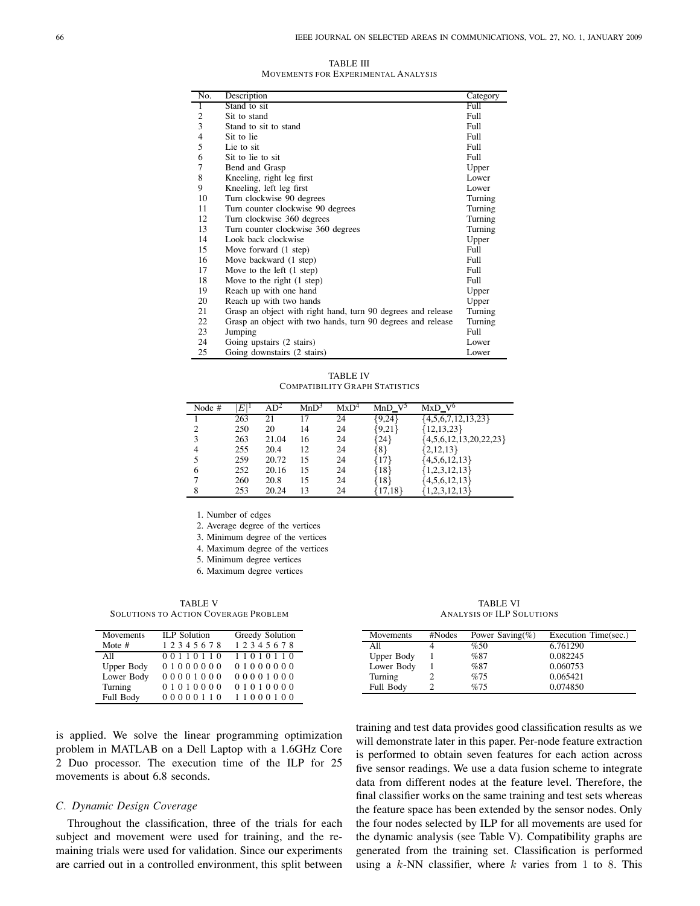| <b>TABLE III</b>                           |
|--------------------------------------------|
| <b>MOVEMENTS FOR EXPERIMENTAL ANALYSIS</b> |

| No.                     | Description                                                  | Category    |
|-------------------------|--------------------------------------------------------------|-------------|
| $\mathbf{1}$            | Stand to sit                                                 | Full        |
| $\overline{c}$          | Sit to stand                                                 | Full        |
| $\overline{\mathbf{3}}$ | Stand to sit to stand                                        | Full        |
| $\overline{4}$          | Sit to lie                                                   | Full        |
| 5                       | Lie to sit                                                   | Full        |
| 6                       | Sit to lie to sit                                            | Full        |
| 7                       | Bend and Grasp                                               | Upper       |
| 8                       | Kneeling, right leg first                                    | Lower       |
| 9                       | Kneeling, left leg first                                     | Lower       |
| 10                      | Turn clockwise 90 degrees                                    | Turning     |
| 11                      | Turn counter clockwise 90 degrees                            | Turning     |
| 12                      | Turn clockwise 360 degrees                                   | Turning     |
| 13                      | Turn counter clockwise 360 degrees                           | Turning     |
| 14                      | Look back clockwise                                          | Upper       |
| 15                      | Move forward (1 step)                                        | Full        |
| 16                      | Move backward (1 step)                                       | <b>Full</b> |
| 17                      | Move to the left $(1 \text{ step})$                          | Full        |
| 18                      | Move to the right $(1 \text{ step})$                         | Full        |
| 19                      | Reach up with one hand                                       | Upper       |
| 20                      | Reach up with two hands                                      | Upper       |
| 21                      | Grasp an object with right hand, turn 90 degrees and release | Turning     |
| 22                      | Grasp an object with two hands, turn 90 degrees and release  | Turning     |
| 23                      | Jumping                                                      | Full        |
| 24                      | Going upstairs (2 stairs)                                    | Lower       |
| 25                      | Going downstairs (2 stairs)                                  | Lower       |

TABLE IV COMPATIBILITY GRAPH STATISTICS

| Node # | $E\vert$ | $AD^2$ | MnD <sup>3</sup> | $MxD^4$ | $MnD_V^5$  | $MxD$ $V^6$                  |
|--------|----------|--------|------------------|---------|------------|------------------------------|
|        | 263      | 21     |                  | 24      | 9,24       | $\{4, 5, 6, 7, 12, 13, 23\}$ |
|        | 250      | 20     | 14               | 24      | $\{9,21\}$ | ${12, 13, 23}$               |
|        | 263      | 21.04  | 16               | 24      | ${24}$     | $\{4,5,6,12,13,20,22,23\}$   |
|        | 255      | 20.4   | 12               | 24      | {8}        | ${2,12,13}$                  |
|        | 259      | 20.72  | 15               | 24      | {17}       | $\{4, 5, 6, 12, 13\}$        |
|        | 252      | 20.16  | 15               | 24      | {18}       | $\{1,2,3,12,13\}$            |
|        | 260      | 20.8   | 15               | 24      | {18}       | $\{4, 5, 6, 12, 13\}$        |
|        | 253      | 20.24  | 13               | 24      | 17,18      | $\{1,2,3,12,13\}$            |

1. Number of edges

2. Average degree of the vertices

3. Minimum degree of the vertices

4. Maximum degree of the vertices

5. Minimum degree vertices

6. Maximum degree vertices

TABLE V SOLUTIONS TO ACTION COVERAGE PROBLEM

| Movements  | <b>ILP</b> Solution | Greedy Solution |
|------------|---------------------|-----------------|
| Mote #     | 12345678            | 12345678        |
| All        | 00110110            | 11010110        |
| Upper Body | 01000000            | 01000000        |
| Lower Body | 00001000            | 00001000        |
| Turning    | 01010000            | 01010000        |
| Full Body  | 00000110            | 11000100        |

is applied. We solve the linear programming optimization problem in MATLAB on a Dell Laptop with a 1.6GHz Core 2 Duo processor. The execution time of the ILP for 25 movements is about 6.8 seconds.

# *C. Dynamic Design Coverage*

Throughout the classification, three of the trials for each subject and movement were used for training, and the remaining trials were used for validation. Since our experiments are carried out in a controlled environment, this split between

TABLE VI ANALYS IS OF ILP SOLUTIONS

| Movements  | #Nodes | Power Saving(%) | Execution Time(sec.) |
|------------|--------|-----------------|----------------------|
| All        |        | %50             | 6.761290             |
| Upper Body |        | %87             | 0.082245             |
| Lower Body |        | %87             | 0.060753             |
| Turning    |        | %75             | 0.065421             |
| Full Body  |        | %75             | 0.074850             |

training and test data provides good classification results as we will demonstrate later in this paper. Per-node feature extraction is performed to obtain seven features for each action across five sensor readings. We use a data fusion scheme to integrate data from different nodes at the feature level. Therefore, the final classifier works on the same training and test sets whereas the feature space has been extended by the sensor nodes. Only the four nodes selected by ILP for all movements are used for the dynamic analysis (see Table V). Compatibility graphs are generated from the training set. Classification is performed using a  $k$ -NN classifier, where  $k$  varies from 1 to 8. This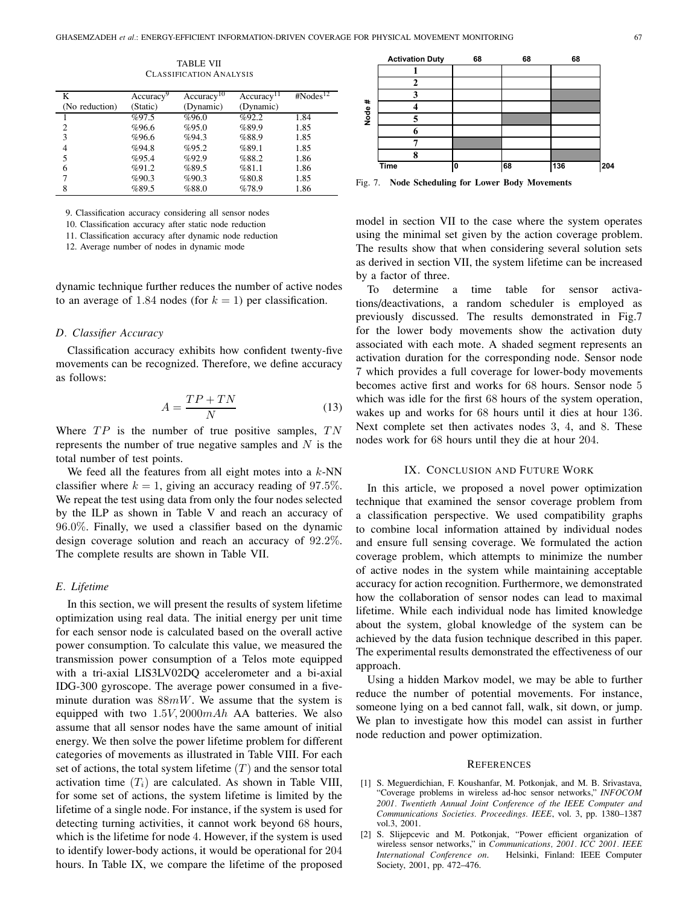| K              | Accuracy <sup>9</sup> | Accuracy <sup>10</sup> | Accuracy <sup>11</sup> | #Nodes <sup>12</sup> |
|----------------|-----------------------|------------------------|------------------------|----------------------|
| (No reduction) | (Static)              | (Dynamic)              | (Dynamic)              |                      |
|                | %97.5                 | %96.0                  | %92.2                  | 1.84                 |
| 2              | %96.6                 | %95.0                  | %89.9                  | 1.85                 |
| 3              | %96.6                 | %94.3                  | %88.9                  | 1.85                 |
| 4              | %94.8                 | %95.2                  | %89.1                  | 1.85                 |
| 5              | %95.4                 | %92.9                  | %88.2                  | 1.86                 |
| 6              | %91.2                 | %89.5                  | %81.1                  | 1.86                 |
|                | %90.3                 | %90.3                  | %80.8                  | 1.85                 |
| 8              | %89.5                 | %88.0                  | %78.9                  | 1.86                 |

TABLE VII CLASSIFICATION ANALYSIS

9. Classification accuracy considering all sensor nodes

10. Classification accuracy after static node reduction

11. Classification accuracy after dynamic node reduction

12. Average number of nodes in dynamic mode

dynamic technique further reduces the number of active nodes to an average of 1.84 nodes (for  $k = 1$ ) per classification.

# *D. Classifier Accuracy*

Classification accuracy exhibits how confident twenty-five movements can be recognized. Therefore, we define accuracy as follows:

$$
A = \frac{TP + TN}{N}
$$
 (13)

Where  $TP$  is the number of true positive samples,  $TN$ <br>represents the number of true pegative samples and N is the represents the number of true negative samples and  $N$  is the total number of test points.

We feed all the features from all eight motes into a  $k$ -NN classifier where  $k = 1$ , giving an accuracy reading of 97.5%. We repeat the test using data from only the four nodes selected by the ILP as shown in Table V and reach an accuracy of 96.0%. Finally, we used a classifier based on the dynamic design coverage solution and reach an accuracy of 92.2%. The complete results are shown in Table VII.

# *E. Lifetime*

In this section, we will present the results of system lifetime optimization using real data. The initial energy per unit time for each sensor node is calculated based on the overall active power consumption. To calculate this value, we measured the transmission power consumption of a Telos mote equipped with a tri-axial LIS3LV02DQ accelerometer and a bi-axial IDG-300 gyroscope. The average power consumed in a fiveminute duration was  $88mW$ . We assume that the system is equipped with two  $1.5V$ ,  $2000$ m $Ah$  AA batteries. We also assume that all sensor nodes have the same amount of initial energy. We then solve the power lifetime problem for different categories of movements as illustrated in Table VIII. For each set of actions, the total system lifetime  $(T)$  and the sensor total activation time  $(T_i)$  are calculated. As shown in Table VIII, for some set of actions, the system lifetime is limited by the lifetime of a single node. For instance, if the system is used for detecting turning activities, it cannot work beyond 68 hours, which is the lifetime for node 4. However, if the system is used to identify lower-body actions, it would be operational for 204 hours. In Table IX, we compare the lifetime of the proposed



Fig. 7. **Node Scheduling for Lower Body Movements**

model in section VII to the case where the system operates using the minimal set given by the action coverage problem. The results show that when considering several solution sets as derived in section VII, the system lifetime can be increased by a factor of three.

To determine a time table for sensor activations/deactivations, a random scheduler is employed as previously discussed. The results demonstrated in Fig.7 for the lower body movements show the activation duty associated with each mote. A shaded segment represents an activation duration for the corresponding node. Sensor node 7 which provides a full coverage for lower-body movements becomes active first and works for 68 hours. Sensor node 5 which was idle for the first 68 hours of the system operation, wakes up and works for 68 hours until it dies at hour 136. Next complete set then activates nodes 3, 4, and 8. These nodes work for 68 hours until they die at hour 204.

# IX. CONCLUSION AND FUTURE WORK

In this article, we proposed a novel power optimization technique that examined the sensor coverage problem from a classification perspective. We used compatibility graphs to combine local information attained by individual nodes and ensure full sensing coverage. We formulated the action coverage problem, which attempts to minimize the number of active nodes in the system while maintaining acceptable accuracy for action recognition. Furthermore, we demonstrated how the collaboration of sensor nodes can lead to maximal lifetime. While each individual node has limited knowledge about the system, global knowledge of the system can be achieved by the data fusion technique described in this paper. The experimental results demonstrated the effectiveness of our approach.

Using a hidden Markov model, we may be able to further reduce the number of potential movements. For instance, someone lying on a bed cannot fall, walk, sit down, or jump. We plan to investigate how this model can assist in further node reduction and power optimization.

#### **REFERENCES**

- [1] S. Meguerdichian, F. Koushanfar, M. Potkonjak, and M. B. Srivastava, "Coverage problems in wireless ad-hoc sensor networks," *INFOCOM 2001. Twentieth Annual Joint Conference of the IEEE Computer and Communications Societies. Proceedings. IEEE*, vol. 3, pp. 1380–1387 vol.3, 2001.
- [2] S. Slijepcevic and M. Potkonjak, "Power efficient organization of wireless sensor networks," in *Communications, 2001. ICC 2001. IEEE*<br>*International Conference on*. Helsinki, Finland: IEEE Computer *Helsinki, Finland: IEEE Computer* Society, 2001, pp. 472–476.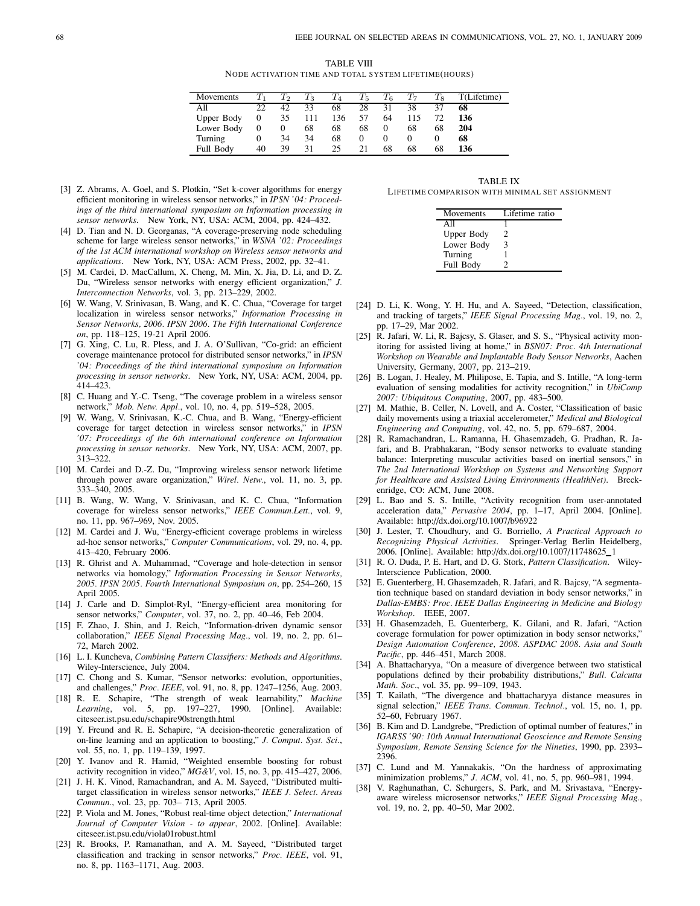TABLE VIII NODE ACTIVATION TIME AND TOTAL SYSTEM LIFETIME(HOURS)

| Movements  |    | T,       | $T_3$ | $T_{4}$ | $T_{5}$ | $T_{\rm 6}$ | $T_7$ | $T_8$ | T(Lifetime) |
|------------|----|----------|-------|---------|---------|-------------|-------|-------|-------------|
| All        |    | 42       | 33    | 68      | 28      |             | 38    | 37    | 68          |
| Upper Body | 0  | 35       | 111   | 136     | 57      | 64          | 115   | 72    | 136         |
| Lower Body | 0  | $\theta$ | 68    | 68      | 68      |             | 68    | 68    | 204         |
| Turning    | 0  | 34       | 34    | 68      |         |             |       |       | 68          |
| Full Body  | 40 | 39       | 31    | 25      | 21      | 68          | 68    | 68    | 136         |

- [3] Z. Abrams, A. Goel, and S. Plotkin, "Set k-cover algorithms for energy efficient monitoring in wireless sensor networks," in *IPSN '04: Proceedings of the third international symposium on Information processing in sensor networks*. New York, NY, USA: ACM, 2004, pp. 424–432.
- [4] D. Tian and N. D. Georganas, "A coverage-preserving node scheduling scheme for large wireless sensor networks," in *WSNA '02: Proceedings of the 1st ACM international workshop on Wireless sensor networks and applications*. New York, NY, USA: ACM Press, 2002, pp. 32–41.
- [5] M. Cardei, D. MacCallum, X. Cheng, M. Min, X. Jia, D. Li, and D. Z. Du, "Wireless sensor networks with energy efficient organization," *J. Interconnection Networks*, vol. 3, pp. 213–229, 2002.
- [6] W. Wang, V. Srinivasan, B. Wang, and K. C. Chua, "Coverage for target localization in wireless sensor networks," *Information Processing in Sensor Networks, 2006. IPSN 2006. The Fifth International Conference on*, pp. 118–125, 19-21 April 2006.
- [7] G. Xing, C. Lu, R. Pless, and J. A. O'Sullivan, "Co-grid: an efficient coverage maintenance protocol for distributed sensor networks," in *IPSN '04: Proceedings of the third international symposium on Information processing in sensor networks*. New York, NY, USA: ACM, 2004, pp. 414–423.
- [8] C. Huang and Y.-C. Tseng, "The coverage problem in a wireless sensor network," *Mob. Netw. Appl.*, vol. 10, no. 4, pp. 519–528, 2005.
- [9] W. Wang, V. Srinivasan, K.-C. Chua, and B. Wang, "Energy-efficient coverage for target detection in wireless sensor networks," in *IPSN '07: Proceedings of the 6th international conference on Information processing in sensor networks*. New York, NY, USA: ACM, 2007, pp. 313–322.
- [10] M. Cardei and D.-Z. Du, "Improving wireless sensor network lifetime through power aware organization," *Wirel. Netw.*, vol. 11, no. 3, pp. 333–340, 2005.
- [11] B. Wang, W. Wang, V. Srinivasan, and K. C. Chua, "Information coverage for wireless sensor networks," *IEEE Commun.Lett.*, vol. 9, no. 11, pp. 967–969, Nov. 2005.
- [12] M. Cardei and J. Wu, "Energy-efficient coverage problems in wireless ad-hoc sensor networks," *Computer Communications*, vol. 29, no. 4, pp. 413–420, February 2006.
- [13] R. Ghrist and A. Muhammad, "Coverage and hole-detection in sensor networks via homology," *Information Processing in Sensor Networks, 2005. IPSN 2005. Fourth International Symposium on*, pp. 254–260, 15 April 2005.
- [14] J. Carle and D. Simplot-Ryl, "Energy-efficient area monitoring for sensor networks," *Computer*, vol. 37, no. 2, pp. 40–46, Feb 2004.
- [15] F. Zhao, J. Shin, and J. Reich, "Information-driven dynamic sensor collaboration," *IEEE Signal Processing Mag.*, vol. 19, no. 2, pp. 61– 72, March 2002.
- [16] L. I. Kuncheva, *Combining Pattern Classifiers: Methods and Algorithms*. Wiley-Interscience, July 2004.
- [17] C. Chong and S. Kumar, "Sensor networks: evolution, opportunities, and challenges," *Proc. IEEE*, vol. 91, no. 8, pp. 1247–1256, Aug. 2003.
- [18] R. E. Schapire, "The strength of weak learnability," *Machine Learning*, vol. 5, pp. 197–227, 1990. [Online]. Available: citeseer.ist.psu.edu/schapire90strength.html
- [19] Y. Freund and R. E. Schapire, "A decision-theoretic generalization of on-line learning and an application to boosting," *J. Comput. Syst. Sci.*, vol. 55, no. 1, pp. 119–139, 1997.
- [20] Y. Ivanov and R. Hamid, "Weighted ensemble boosting for robust activity recognition in video," *MG&V*, vol. 15, no. 3, pp. 415–427, 2006.
- [21] J. H. K. Vinod, Ramachandran, and A. M. Sayeed, "Distributed multitarget classification in wireless sensor networks," *IEEE J. Select. Areas Commun.*, vol. 23, pp. 703– 713, April 2005.
- [22] P. Viola and M. Jones, "Robust real-time object detection," *International Journal of Computer Vision - to appear*, 2002. [Online]. Available: citeseer.ist.psu.edu/viola01robust.html
- [23] R. Brooks, P. Ramanathan, and A. M. Sayeed, "Distributed target classification and tracking in sensor networks," *Proc. IEEE*, vol. 91, no. 8, pp. 1163–1171, Aug. 2003.

TABLE IX LIFETIME COMPARISON WITH MINIMAL SET ASS IGNMENT

| Movements  | Lifetime ratio |
|------------|----------------|
| All        |                |
| Upper Body | 2              |
| Lower Body | 3              |
| Turning    |                |
| Full Body  | 7              |

- [24] D. Li, K. Wong, Y. H. Hu, and A. Sayeed, "Detection, classification, and tracking of targets," *IEEE Signal Processing Mag.*, vol. 19, no. 2, pp. 17–29, Mar 2002.
- [25] R. Jafari, W. Li, R. Bajcsy, S. Glaser, and S. S., "Physical activity monitoring for assisted living at home," in *BSN07: Proc. 4th International Workshop on Wearable and Implantable Body Sensor Networks*, Aachen University, Germany, 2007, pp. 213–219.
- [26] B. Logan, J. Healey, M. Philipose, E. Tapia, and S. Intille, "A long-term evaluation of sensing modalities for activity recognition," in *UbiComp 2007: Ubiquitous Computing*, 2007, pp. 483–500.
- [27] M. Mathie, B. Celler, N. Lovell, and A. Coster, "Classification of basic daily movements using a triaxial accelerometer," *Medical and Biological Engineering and Computing*, vol. 42, no. 5, pp. 679–687, 2004.
- [28] R. Ramachandran, L. Ramanna, H. Ghasemzadeh, G. Pradhan, R. Jafari, and B. Prabhakaran, "Body sensor networks to evaluate standing balance: Interpreting muscular activities based on inertial sensors," in *The 2nd International Workshop on Systems and Networking Support for Healthcare and Assisted Living Environments (HealthNet)*. Breckenridge, CO: ACM, June 2008.
- [29] L. Bao and S. S. Intille, "Activity recognition from user-annotated acceleration data," *Pervasive 2004*, pp. 1–17, April 2004. [Online]. Available: http://dx.doi.org/10.1007/b96922
- [30] J. Lester, T. Choudhury, and G. Borriello, *A Practical Approach to Recognizing Physical Activities*. Springer-Verlag Berlin Heidelberg, 2006. [Online]. Available: http://dx.doi.org/10.1007/11748625 1
- [31] R. O. Duda, P. E. Hart, and D. G. Stork, *Pattern Classification*. Wiley-Interscience Publication, 2000.
- [32] E. Guenterberg, H. Ghasemzadeh, R. Jafari, and R. Bajcsy, "A segmentation technique based on standard deviation in body sensor networks," in *Dallas-EMBS: Proc. IEEE Dallas Engineering in Medicine and Biology Workshop*. IEEE, 2007.
- [33] H. Ghasemzadeh, E. Guenterberg, K. Gilani, and R. Jafari, "Action coverage formulation for power optimization in body sensor networks,' *Design Automation Conference, 2008. ASPDAC 2008. Asia and South Pacific*, pp. 446–451, March 2008.
- [34] A. Bhattacharyya, "On a measure of divergence between two statistical populations defined by their probability distributions," *Bull. Calcutta Math. Soc.*, vol. 35, pp. 99–109, 1943.
- [35] T. Kailath, "The divergence and bhattacharyya distance measures in signal selection," *IEEE Trans. Commun. Technol.*, vol. 15, no. 1, pp. 52–60, February 1967.
- [36] B. Kim and D. Landgrebe, "Prediction of optimal number of features," in *IGARSS '90: 10th Annual International Geoscience and Remote Sensing Symposium, Remote Sensing Science for the Nineties*, 1990, pp. 2393– 2396.
- [37] C. Lund and M. Yannakakis, "On the hardness of approximating minimization problems," *J. ACM*, vol. 41, no. 5, pp. 960–981, 1994.
- [38] V. Raghunathan, C. Schurgers, S. Park, and M. Srivastava, "Energyaware wireless microsensor networks," *IEEE Signal Processing Mag.*, vol. 19, no. 2, pp. 40–50, Mar 2002.